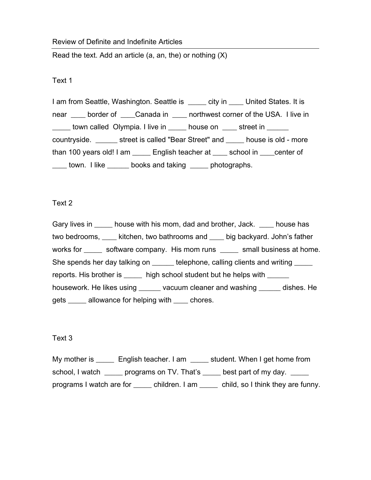### Review of Definite and Indefinite Articles

Read the text. Add an article  $(a, an, the)$  or nothing  $(X)$ 

# Text 1

I am from Seattle, Washington. Seattle is early in United States. It is near border of Canada in corthwest corner of the USA. I live in town called Olympia. I live in douse on the street in countryside. \_\_\_\_\_\_ street is called "Bear Street" and \_\_\_\_\_ house is old - more than 100 years old! I am \_\_\_\_\_ English teacher at \_\_\_\_ school in \_\_\_\_center of \_\_\_\_ town. I like \_\_\_\_\_\_ books and taking \_\_\_\_\_ photographs.

# Text 2

Gary lives in \_\_\_\_\_\_ house with his mom, dad and brother, Jack. \_\_\_\_\_ house has two bedrooms, \_\_\_\_ kitchen, two bathrooms and \_\_\_\_ big backyard. John's father works for \_\_\_\_\_\_ software company. His mom runs \_\_\_\_\_ small business at home. She spends her day talking on \_\_\_\_\_\_ telephone, calling clients and writing \_\_\_\_\_ reports. His brother is \_\_\_\_\_ high school student but he helps with \_\_\_\_\_\_ housework. He likes using \_\_\_\_\_\_ vacuum cleaner and washing \_\_\_\_\_\_ dishes. He gets allowance for helping with chores.

# Text 3

My mother is \_\_\_\_\_\_ English teacher. I am \_\_\_\_\_ student. When I get home from school, I watch \_\_\_\_\_ programs on TV. That's \_\_\_\_\_ best part of my day. \_\_\_\_\_ programs I watch are for \_\_\_\_\_ children. I am \_\_\_\_\_ child, so I think they are funny.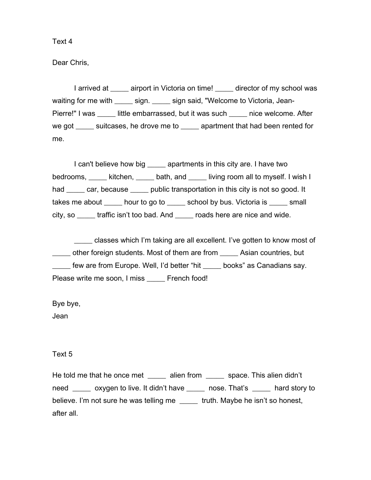Dear Chris,

I arrived at \_\_\_\_\_ airport in Victoria on time! director of my school was waiting for me with \_\_\_\_\_\_ sign. \_\_\_\_\_ sign said, "Welcome to Victoria, Jean-Pierre!" I was \_\_\_\_\_ little embarrassed, but it was such \_\_\_\_\_\_ nice welcome. After we got \_\_\_\_\_ suitcases, he drove me to \_\_\_\_\_ apartment that had been rented for me.

I can't believe how big equilibary apartments in this city are. I have two bedrooms, \_\_\_\_\_ kitchen, \_\_\_\_\_ bath, and \_\_\_\_\_ living room all to myself. I wish I had car, because public transportation in this city is not so good. It takes me about \_\_\_\_\_ hour to go to \_\_\_\_\_ school by bus. Victoria is \_\_\_\_\_ small city, so \_\_\_\_\_ traffic isn't too bad. And \_\_\_\_\_ roads here are nice and wide.

\_\_\_\_\_ classes which I'm taking are all excellent. I've gotten to know most of \_\_\_\_\_ other foreign students. Most of them are from \_\_\_\_\_ Asian countries, but \_\_\_\_\_ few are from Europe. Well, I'd better "hit \_\_\_\_\_ books" as Canadians say. Please write me soon, I miss \_\_\_\_\_ French food!

Bye bye,

Jean

Text 5

He told me that he once met alien from space. This alien didn't need oxygen to live. It didn't have nose. That's hard story to believe. I'm not sure he was telling me truth. Maybe he isn't so honest, after all.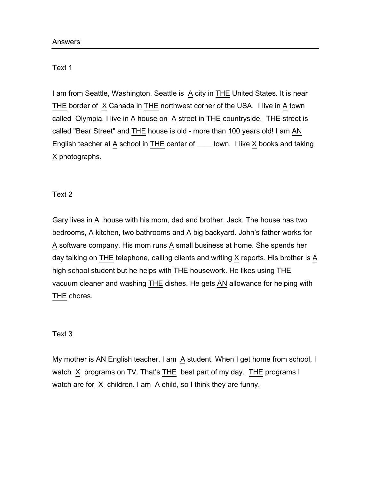### Text 1

I am from Seattle, Washington. Seattle is A city in THE United States. It is near THE border of  $X$  Canada in THE northwest corner of the USA. I live in  $A$  town called Olympia. I live in  $\underline{A}$  house on  $\underline{A}$  street in THE countryside. THE street is called "Bear Street" and THE house is old - more than 100 years old! I am AN English teacher at A school in  $THE$  center of  $\_\_\_$  town. I like X books and taking X photographs.

# Text 2

Gary lives in A house with his mom, dad and brother, Jack. The house has two bedrooms, A kitchen, two bathrooms and A big backyard. John's father works for A software company. His mom runs A small business at home. She spends her day talking on  $\underline{\text{THE}}$  telephone, calling clients and writing  $\underline{X}$  reports. His brother is  $\underline{A}$ high school student but he helps with THE housework. He likes using THE vacuum cleaner and washing THE dishes. He gets AN allowance for helping with THE chores.

# Text 3

My mother is AN English teacher. I am  $\overline{A}$  student. When I get home from school, I watch  $X$  programs on TV. That's THE best part of my day. THE programs I watch are for  $X$  children. I am  $A$  child, so I think they are funny.